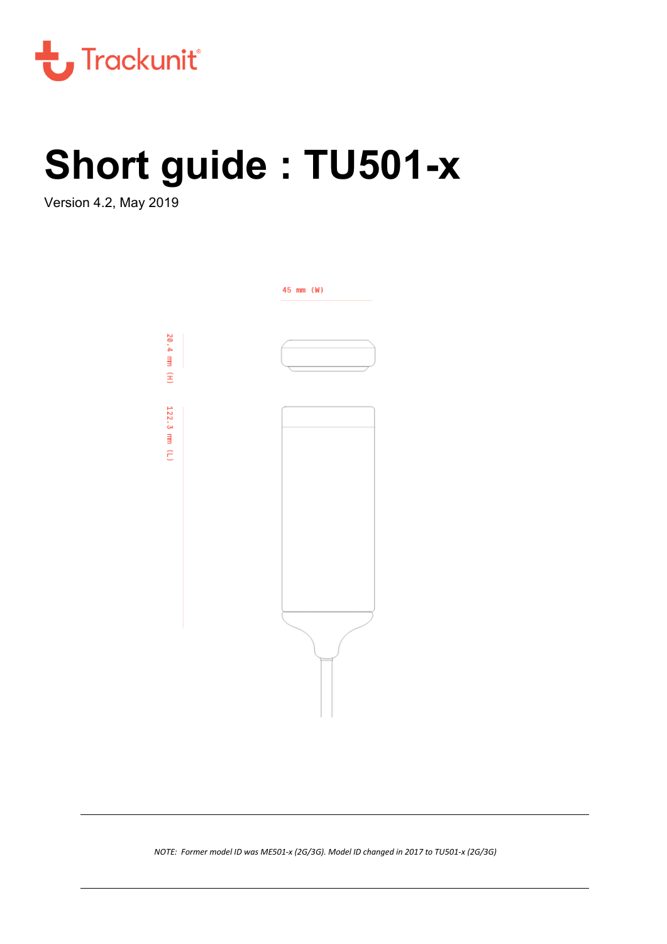

# **Short guide : TU501-x**

Version 4.2, May 2019



*NOTE: Former model ID was ME501-x (2G/3G). Model ID changed in 2017 to TU501-x (2G/3G)*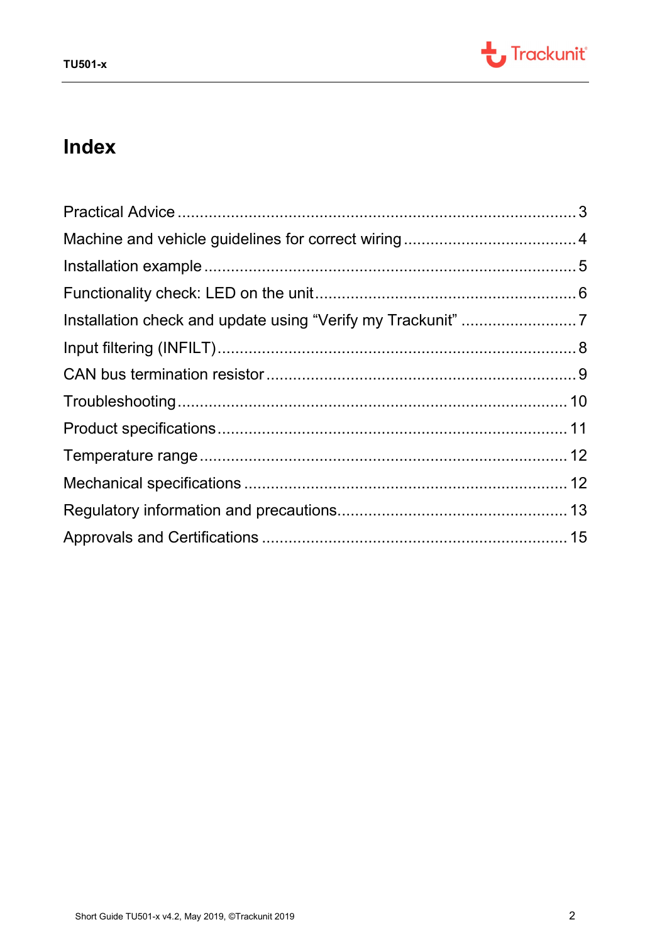

### **Index**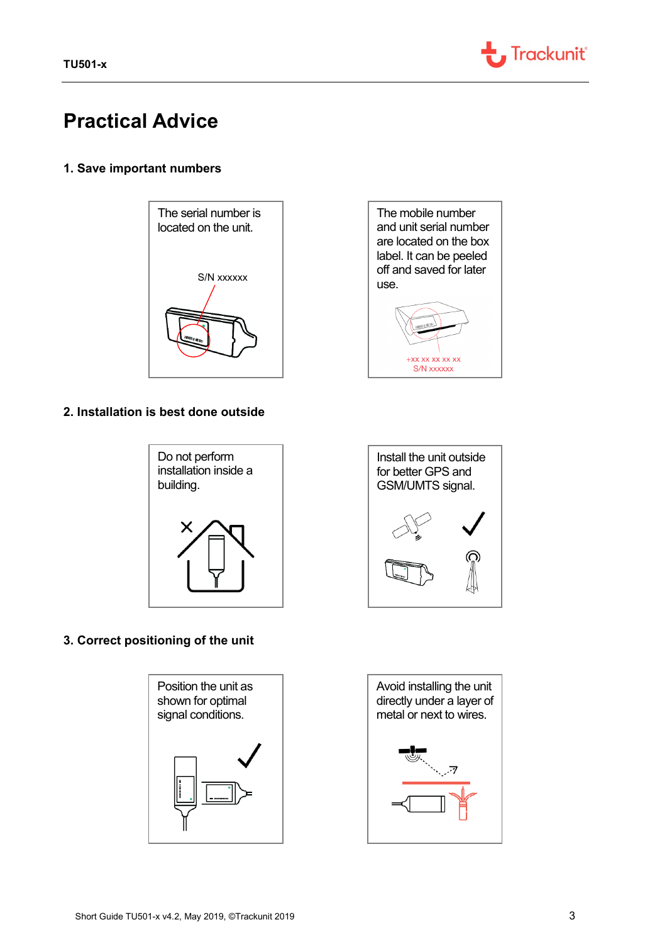

### <span id="page-2-0"></span>**Practical Advice**

### **1. Save important numbers**



#### **2. Installation is best done outside**



### **3. Correct positioning of the unit**







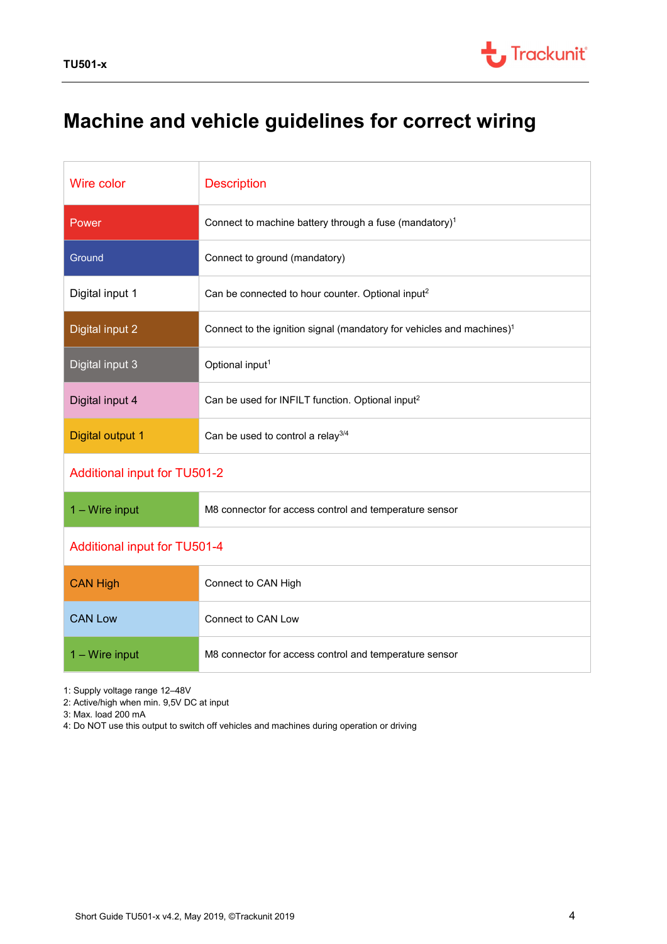# <span id="page-3-0"></span>**Machine and vehicle guidelines for correct wiring**

| Wire color                          | <b>Description</b>                                                                |  |
|-------------------------------------|-----------------------------------------------------------------------------------|--|
| Power                               | Connect to machine battery through a fuse (mandatory) <sup>1</sup>                |  |
| Ground                              | Connect to ground (mandatory)                                                     |  |
| Digital input 1                     | Can be connected to hour counter. Optional input <sup>2</sup>                     |  |
| <b>Digital input 2</b>              | Connect to the ignition signal (mandatory for vehicles and machines) <sup>1</sup> |  |
| Digital input 3                     | Optional input <sup>1</sup>                                                       |  |
| Digital input 4                     | Can be used for INFILT function. Optional input <sup>2</sup>                      |  |
| <b>Digital output 1</b>             | Can be used to control a relay <sup>3/4</sup>                                     |  |
| <b>Additional input for TU501-2</b> |                                                                                   |  |
| 1 - Wire input                      | M8 connector for access control and temperature sensor                            |  |
| Additional input for TU501-4        |                                                                                   |  |
| <b>CAN High</b>                     | Connect to CAN High                                                               |  |
| <b>CAN Low</b>                      | Connect to CAN Low                                                                |  |
| 1 - Wire input                      | M8 connector for access control and temperature sensor                            |  |

1: Supply voltage range 12–48V

2: Active/high when min. 9,5V DC at input

3: Max. load 200 mA

4: Do NOT use this output to switch off vehicles and machines during operation or driving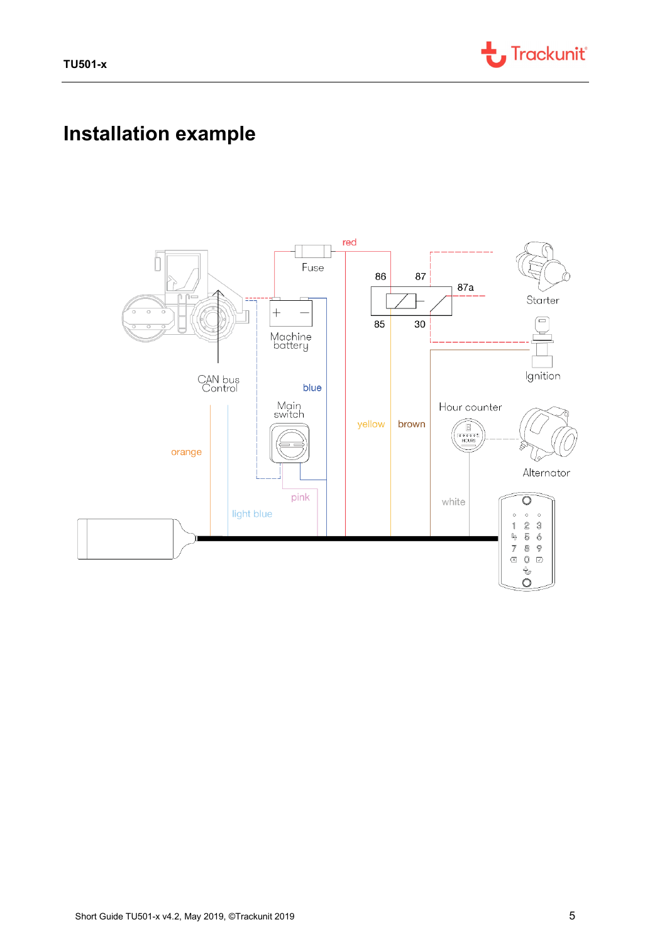

### <span id="page-4-0"></span>**Installation example**

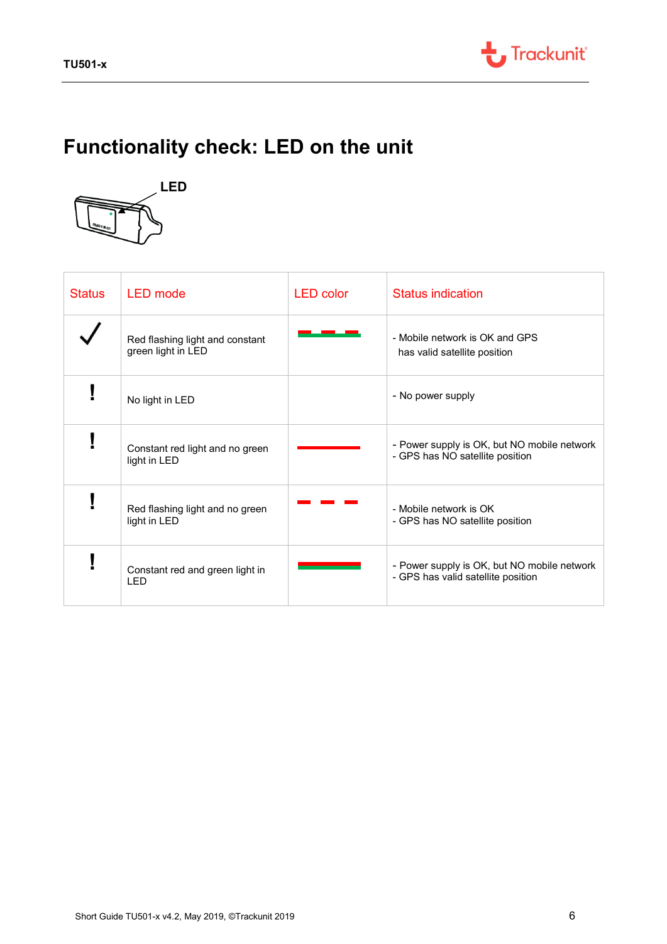

# <span id="page-5-0"></span>**Functionality check: LED on the unit**



| <b>Status</b> | <b>LED</b> mode                                       | <b>LED</b> color | <b>Status indication</b>                                                          |
|---------------|-------------------------------------------------------|------------------|-----------------------------------------------------------------------------------|
|               | Red flashing light and constant<br>green light in LED |                  | - Mobile network is OK and GPS<br>has valid satellite position                    |
|               | No light in LED                                       |                  | - No power supply                                                                 |
|               | Constant red light and no green<br>light in LED       |                  | - Power supply is OK, but NO mobile network<br>- GPS has NO satellite position    |
|               | Red flashing light and no green<br>light in LED       |                  | - Mobile network is OK<br>- GPS has NO satellite position                         |
|               | Constant red and green light in<br>LED                |                  | - Power supply is OK, but NO mobile network<br>- GPS has valid satellite position |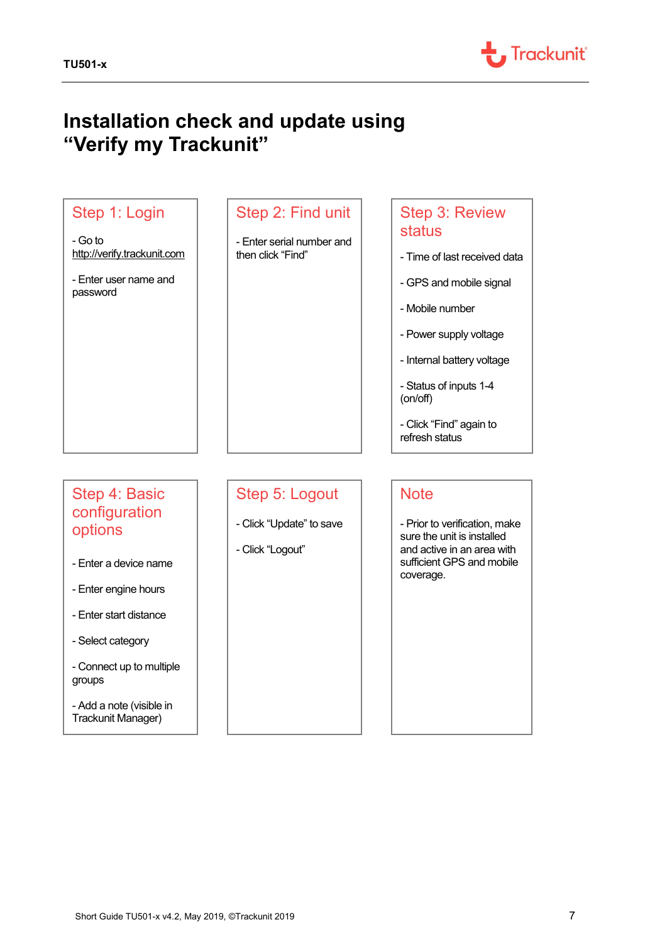$\overline{a}$ 



### <span id="page-6-0"></span>**Installation check and update using "Verify my Trackunit"**

### Step 1: Login

- Go to [http://verify.trackunit.com](http://verify.trackunit.com/)

- Enter user name and password

### Step 2: Find unit

- Enter serial number and then click "Find"

### Step 3: Review status

- Time of last received data
- GPS and mobile signal
- Mobile number
- Power supply voltage
- Internal battery voltage
- Status of inputs 1-4 (on/off)
- Click "Find" again to refresh status

### Step 4: Basic configuration options

- Enter a device name
- Enter engine hours
- Enter start distance
- Select category
- Connect up to multiple groups
- Add a note (visible in Trackunit Manager)

### Step 5: Logout

- Click "Update" to save
- Click "Logout"

### **Note**

- Prior to verification, make sure the unit is installed and active in an area with sufficient GPS and mobile coverage.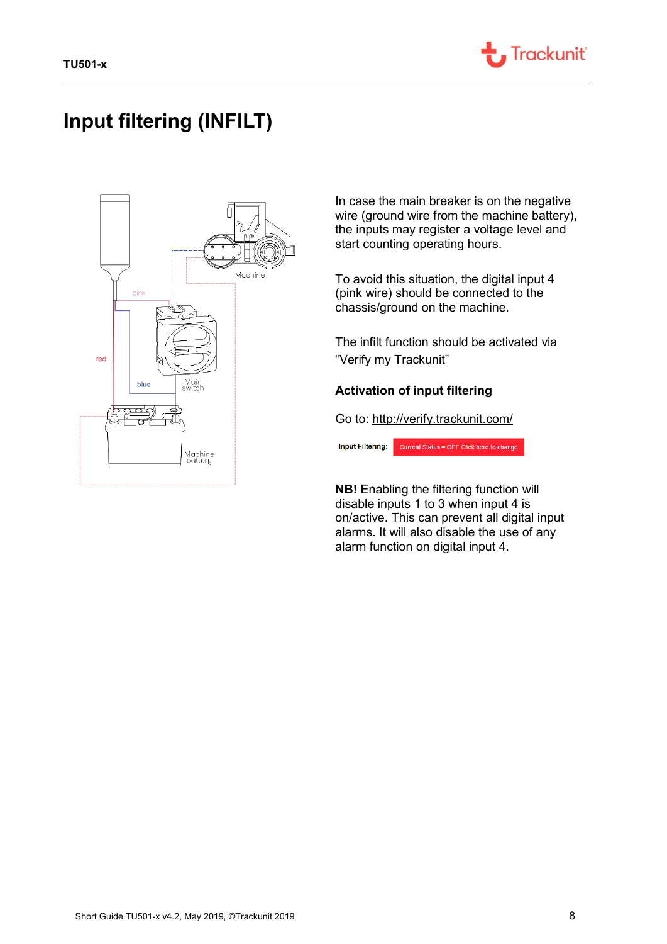

### <span id="page-7-0"></span>**Input filtering (INFILT)**



In case the main breaker is on the negative wire (ground wire from the machine battery), the inputs may register a voltage level and start counting operating hours.

To avoid this situation, the digital input 4 (pink wire) should be connected to the chassis/ground on the machine.

The infilt function should be activated via "Verify my Trackunit"

#### **Activation of input filtering**

Go to:<http://verify.trackunit.com/>

Current Status = OFF Click here to change Input Filtering:

**NB!** Enabling the filtering function will disable inputs 1 to 3 when input 4 is on/active. This can prevent all digital input alarms. It will also disable the use of any alarm function on digital input 4.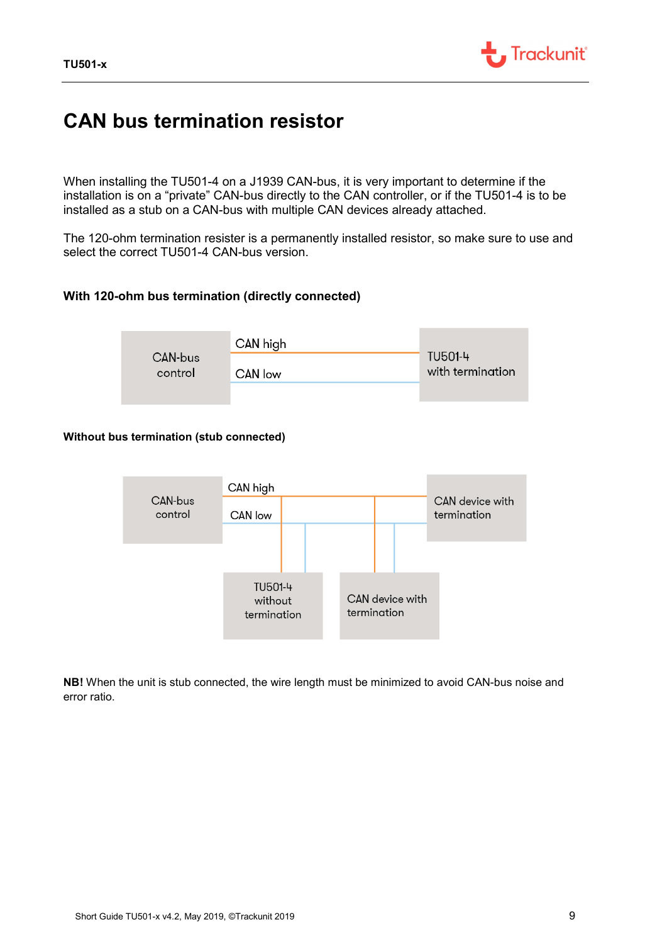

### <span id="page-8-0"></span>**CAN bus termination resistor**

When installing the TU501-4 on a J1939 CAN-bus, it is very important to determine if the installation is on a "private" CAN-bus directly to the CAN controller, or if the TU501-4 is to be installed as a stub on a CAN-bus with multiple CAN devices already attached.

The 120-ohm termination resister is a permanently installed resistor, so make sure to use and select the correct TU501-4 CAN-bus version.

#### **With 120-ohm bus termination (directly connected)**

|         | CAN high |                  |
|---------|----------|------------------|
| CAN-bus |          | TU501-4          |
| control | CAN low  | with termination |
|         |          |                  |

#### **Without bus termination (stub connected)**



**NB!** When the unit is stub connected, the wire length must be minimized to avoid CAN-bus noise and error ratio.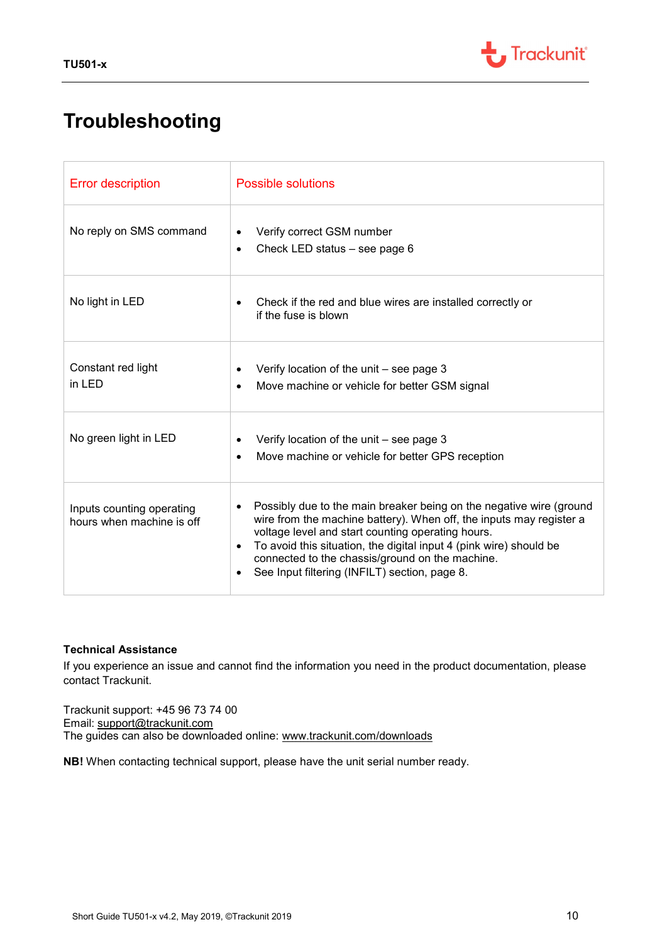

# <span id="page-9-0"></span>**Troubleshooting**

| <b>Error description</b>                               | Possible solutions                                                                                                                                                                                                                                                                                                                                                                                               |
|--------------------------------------------------------|------------------------------------------------------------------------------------------------------------------------------------------------------------------------------------------------------------------------------------------------------------------------------------------------------------------------------------------------------------------------------------------------------------------|
| No reply on SMS command                                | Verify correct GSM number<br>Check LED status - see page 6<br>$\bullet$                                                                                                                                                                                                                                                                                                                                          |
| No light in LED                                        | Check if the red and blue wires are installed correctly or<br>$\bullet$<br>if the fuse is blown                                                                                                                                                                                                                                                                                                                  |
| Constant red light<br>in LED                           | Verify location of the unit – see page 3<br>Move machine or vehicle for better GSM signal<br>$\bullet$                                                                                                                                                                                                                                                                                                           |
| No green light in LED                                  | Verify location of the unit – see page 3<br>٠<br>Move machine or vehicle for better GPS reception<br>$\bullet$                                                                                                                                                                                                                                                                                                   |
| Inputs counting operating<br>hours when machine is off | Possibly due to the main breaker being on the negative wire (ground<br>$\bullet$<br>wire from the machine battery). When off, the inputs may register a<br>voltage level and start counting operating hours.<br>To avoid this situation, the digital input 4 (pink wire) should be<br>$\bullet$<br>connected to the chassis/ground on the machine.<br>See Input filtering (INFILT) section, page 8.<br>$\bullet$ |

#### **Technical Assistance**

If you experience an issue and cannot find the information you need in the product documentation, please contact Trackunit.

Trackunit support: +45 96 73 74 00 Email: [support@trackunit.com](mailto:support@trackunit.com) The guides can also be downloaded online: [www.trackunit.com/downloads](http://www.trackunit.com/downloads)

**NB!** When contacting technical support, please have the unit serial number ready.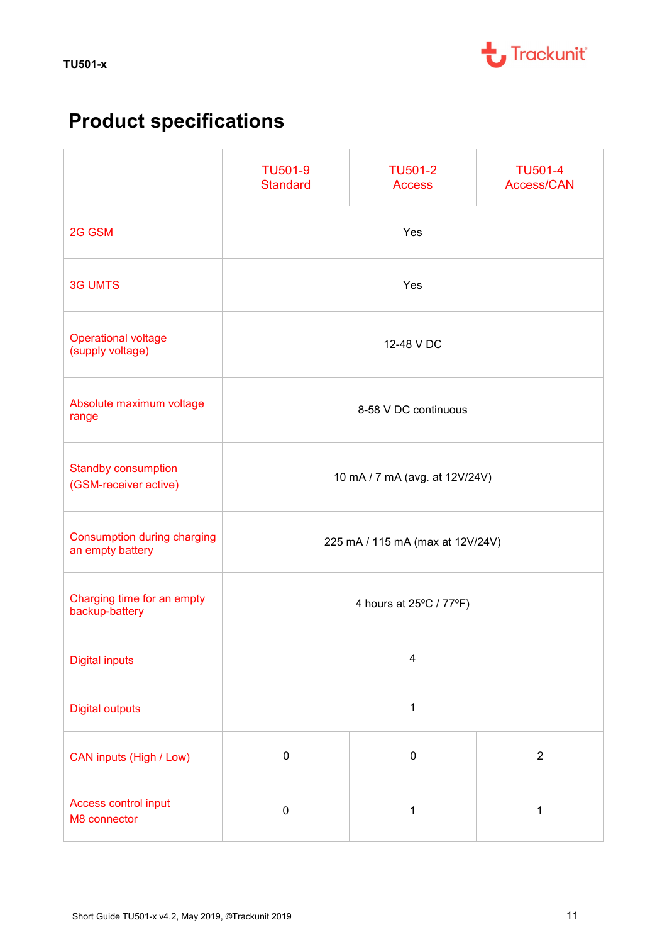

# <span id="page-10-0"></span>**Product specifications**

|                                                     | <b>TU501-9</b><br><b>Standard</b>        | <b>TU501-2</b><br><b>Access</b> | <b>TU501-4</b><br>Access/CAN |
|-----------------------------------------------------|------------------------------------------|---------------------------------|------------------------------|
| 2G GSM                                              |                                          | Yes                             |                              |
| <b>3G UMTS</b>                                      | Yes                                      |                                 |                              |
| <b>Operational voltage</b><br>(supply voltage)      |                                          | 12-48 V DC                      |                              |
| Absolute maximum voltage<br>range                   | 8-58 V DC continuous                     |                                 |                              |
| <b>Standby consumption</b><br>(GSM-receiver active) | 10 mA / 7 mA (avg. at 12V/24V)           |                                 |                              |
| Consumption during charging<br>an empty battery     | 225 mA / 115 mA (max at 12V/24V)         |                                 |                              |
| Charging time for an empty<br>backup-battery        | 4 hours at 25°C / 77°F)                  |                                 |                              |
| <b>Digital inputs</b>                               | $\overline{\mathbf{4}}$                  |                                 |                              |
| <b>Digital outputs</b>                              | $\mathbf{1}$                             |                                 |                              |
| CAN inputs (High / Low)                             | $\overline{2}$<br>$\pmb{0}$<br>$\pmb{0}$ |                                 |                              |
| Access control input<br>M8 connector                | $\pmb{0}$                                | $\mathbf 1$                     | 1                            |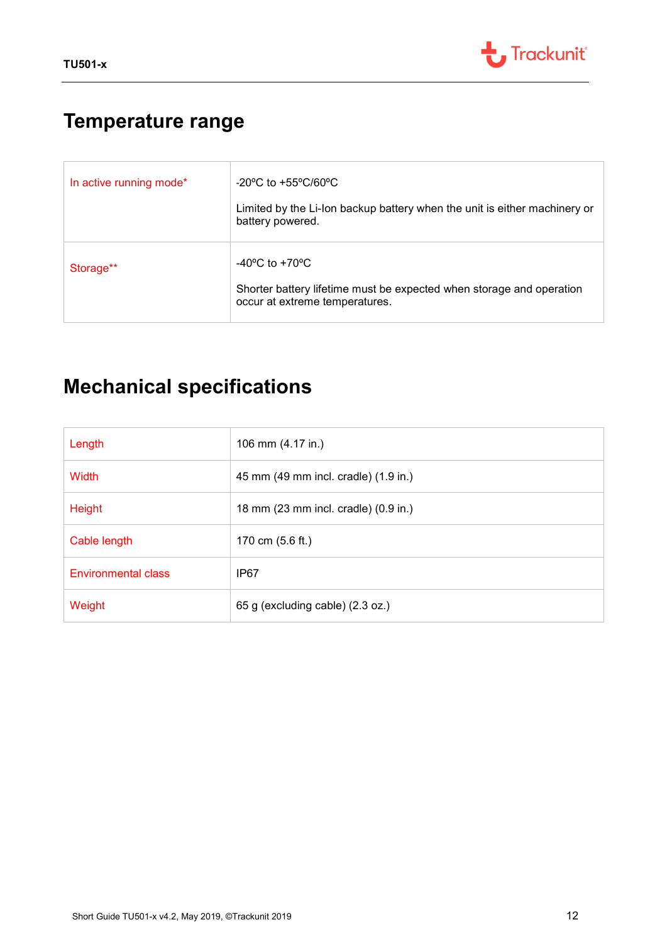

# <span id="page-11-0"></span>**Temperature range**

| In active running mode* | $-20^{\circ}$ C to $+55^{\circ}$ C/60 $^{\circ}$ C<br>Limited by the Li-Ion backup battery when the unit is either machinery or<br>battery powered. |
|-------------------------|-----------------------------------------------------------------------------------------------------------------------------------------------------|
| Storage**               | $-40^{\circ}$ C to $+70^{\circ}$ C<br>Shorter battery lifetime must be expected when storage and operation<br>occur at extreme temperatures.        |

# <span id="page-11-1"></span>**Mechanical specifications**

| Length                     | 106 mm (4.17 in.)                    |
|----------------------------|--------------------------------------|
| Width                      | 45 mm (49 mm incl. cradle) (1.9 in.) |
| <b>Height</b>              | 18 mm (23 mm incl. cradle) (0.9 in.) |
| Cable length               | 170 cm (5.6 ft.)                     |
| <b>Environmental class</b> | IP67                                 |
| Weight                     | 65 g (excluding cable) (2.3 oz.)     |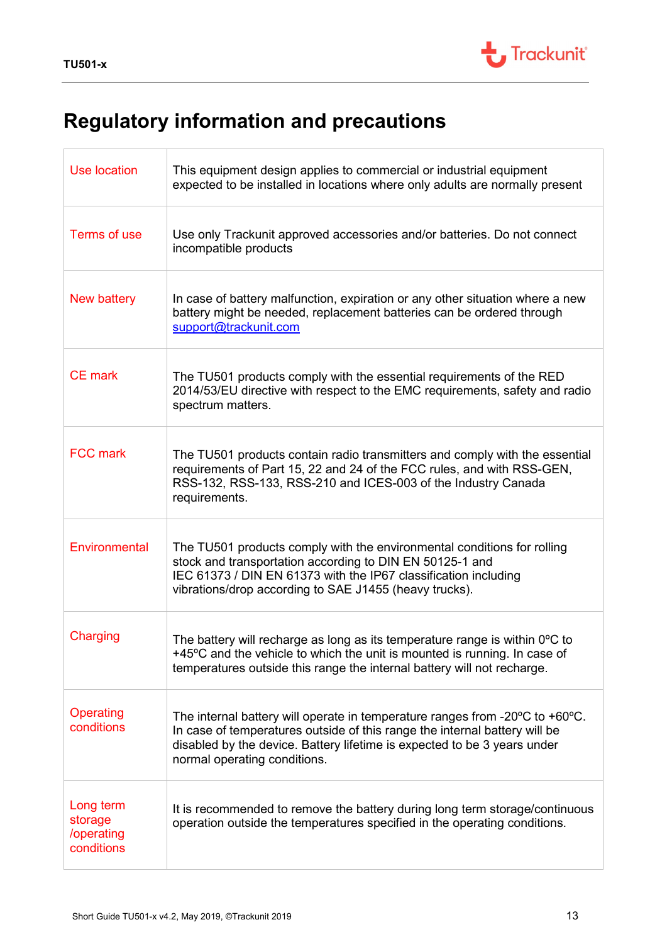

# <span id="page-12-0"></span>**Regulatory information and precautions**

| <b>Use location</b>                              | This equipment design applies to commercial or industrial equipment<br>expected to be installed in locations where only adults are normally present                                                                                                                    |
|--------------------------------------------------|------------------------------------------------------------------------------------------------------------------------------------------------------------------------------------------------------------------------------------------------------------------------|
| Terms of use                                     | Use only Trackunit approved accessories and/or batteries. Do not connect<br>incompatible products                                                                                                                                                                      |
| New battery                                      | In case of battery malfunction, expiration or any other situation where a new<br>battery might be needed, replacement batteries can be ordered through<br>support@trackunit.com                                                                                        |
| <b>CE</b> mark                                   | The TU501 products comply with the essential requirements of the RED<br>2014/53/EU directive with respect to the EMC requirements, safety and radio<br>spectrum matters.                                                                                               |
| <b>FCC mark</b>                                  | The TU501 products contain radio transmitters and comply with the essential<br>requirements of Part 15, 22 and 24 of the FCC rules, and with RSS-GEN,<br>RSS-132, RSS-133, RSS-210 and ICES-003 of the Industry Canada<br>requirements.                                |
| Environmental                                    | The TU501 products comply with the environmental conditions for rolling<br>stock and transportation according to DIN EN 50125-1 and<br>IEC 61373 / DIN EN 61373 with the IP67 classification including<br>vibrations/drop according to SAE J1455 (heavy trucks).       |
| Charging                                         | The battery will recharge as long as its temperature range is within $0^{\circ}$ C to<br>+45°C and the vehicle to which the unit is mounted is running. In case of<br>temperatures outside this range the internal battery will not recharge.                          |
| Operating<br>conditions                          | The internal battery will operate in temperature ranges from -20°C to +60°C.<br>In case of temperatures outside of this range the internal battery will be<br>disabled by the device. Battery lifetime is expected to be 3 years under<br>normal operating conditions. |
| Long term<br>storage<br>/operating<br>conditions | It is recommended to remove the battery during long term storage/continuous<br>operation outside the temperatures specified in the operating conditions.                                                                                                               |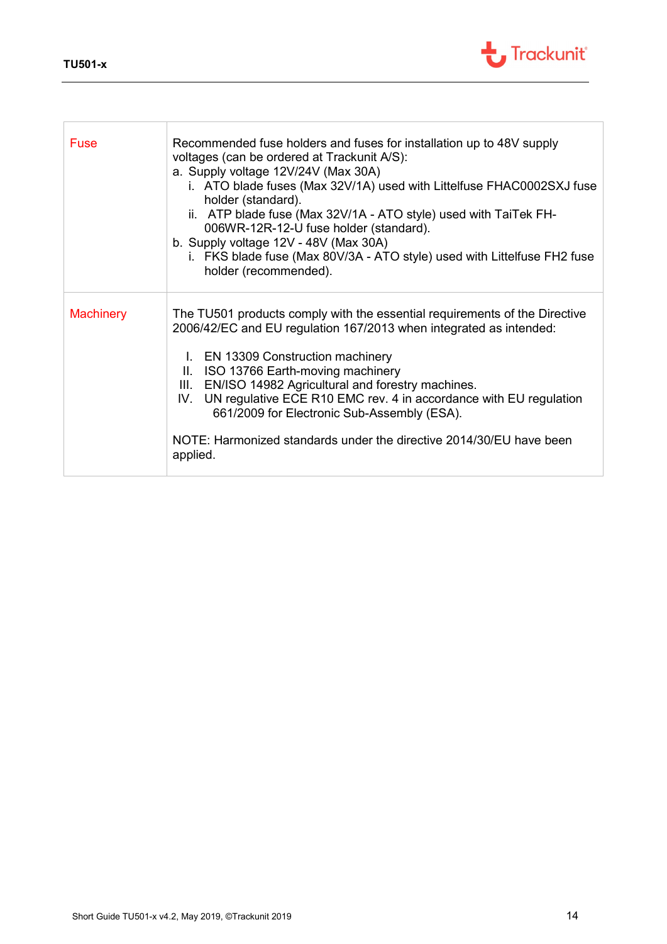

| <b>Fuse</b>      | Recommended fuse holders and fuses for installation up to 48V supply<br>voltages (can be ordered at Trackunit A/S):<br>a. Supply voltage 12V/24V (Max 30A)<br>i. ATO blade fuses (Max 32V/1A) used with Littelfuse FHAC0002SXJ fuse<br>holder (standard).<br>ii. ATP blade fuse (Max 32V/1A - ATO style) used with TaiTek FH-<br>006WR-12R-12-U fuse holder (standard).<br>b. Supply voltage 12V - 48V (Max 30A)<br>i. FKS blade fuse (Max 80V/3A - ATO style) used with Littelfuse FH2 fuse<br>holder (recommended). |
|------------------|-----------------------------------------------------------------------------------------------------------------------------------------------------------------------------------------------------------------------------------------------------------------------------------------------------------------------------------------------------------------------------------------------------------------------------------------------------------------------------------------------------------------------|
| <b>Machinery</b> | The TU501 products comply with the essential requirements of the Directive<br>2006/42/EC and EU regulation 167/2013 when integrated as intended:<br>I. EN 13309 Construction machinery<br>ISO 13766 Earth-moving machinery<br>$\mathbb{II}$ .<br>EN/ISO 14982 Agricultural and forestry machines.<br>III.<br>IV. UN regulative ECE R10 EMC rev. 4 in accordance with EU regulation<br>661/2009 for Electronic Sub-Assembly (ESA).<br>NOTE: Harmonized standards under the directive 2014/30/EU have been<br>applied.  |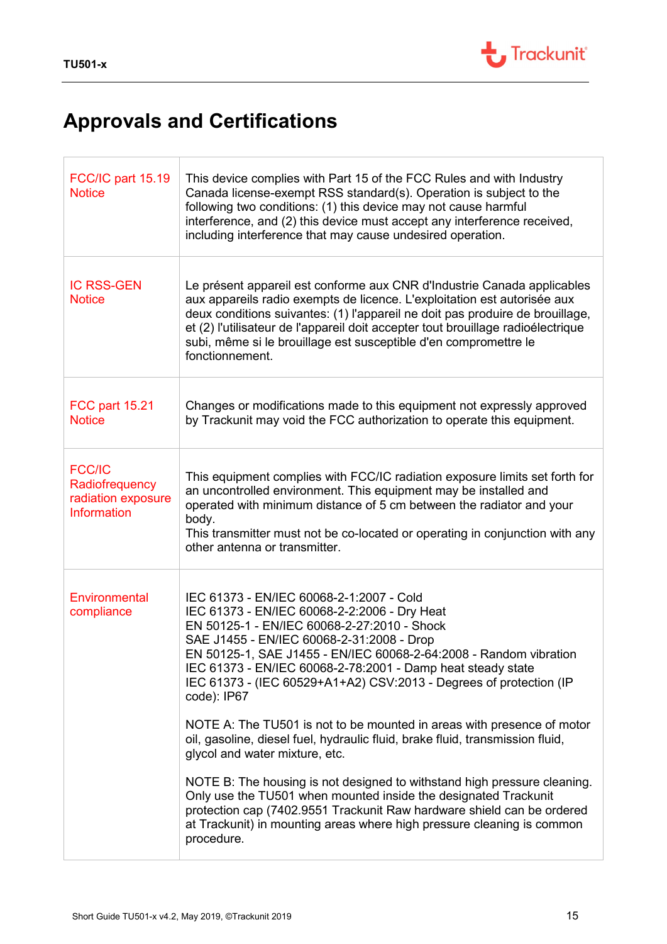

# <span id="page-14-0"></span>**Approvals and Certifications**

| FCC/IC part 15.19<br><b>Notice</b>                                          | This device complies with Part 15 of the FCC Rules and with Industry<br>Canada license-exempt RSS standard(s). Operation is subject to the<br>following two conditions: (1) this device may not cause harmful<br>interference, and (2) this device must accept any interference received,<br>including interference that may cause undesired operation.                                                         |
|-----------------------------------------------------------------------------|-----------------------------------------------------------------------------------------------------------------------------------------------------------------------------------------------------------------------------------------------------------------------------------------------------------------------------------------------------------------------------------------------------------------|
| <b>IC RSS-GEN</b><br><b>Notice</b>                                          | Le présent appareil est conforme aux CNR d'Industrie Canada applicables<br>aux appareils radio exempts de licence. L'exploitation est autorisée aux<br>deux conditions suivantes: (1) l'appareil ne doit pas produire de brouillage,<br>et (2) l'utilisateur de l'appareil doit accepter tout brouillage radioélectrique<br>subi, même si le brouillage est susceptible d'en compromettre le<br>fonctionnement. |
| <b>FCC part 15.21</b><br><b>Notice</b>                                      | Changes or modifications made to this equipment not expressly approved<br>by Trackunit may void the FCC authorization to operate this equipment.                                                                                                                                                                                                                                                                |
| <b>FCC/IC</b><br>Radiofrequency<br>radiation exposure<br><b>Information</b> | This equipment complies with FCC/IC radiation exposure limits set forth for<br>an uncontrolled environment. This equipment may be installed and<br>operated with minimum distance of 5 cm between the radiator and your<br>body.<br>This transmitter must not be co-located or operating in conjunction with any<br>other antenna or transmitter.                                                               |
| Environmental<br>compliance                                                 | IEC 61373 - EN/IEC 60068-2-1:2007 - Cold<br>IEC 61373 - EN/IEC 60068-2-2:2006 - Dry Heat<br>EN 50125-1 - EN/IEC 60068-2-27:2010 - Shock<br>SAE J1455 - EN/IEC 60068-2-31:2008 - Drop<br>EN 50125-1, SAE J1455 - EN/IEC 60068-2-64:2008 - Random vibration<br>IEC 61373 - EN/IEC 60068-2-78:2001 - Damp heat steady state<br>IEC 61373 - (IEC 60529+A1+A2) CSV:2013 - Degrees of protection (IP<br>code): IP67   |
|                                                                             | NOTE A: The TU501 is not to be mounted in areas with presence of motor<br>oil, gasoline, diesel fuel, hydraulic fluid, brake fluid, transmission fluid,<br>glycol and water mixture, etc.                                                                                                                                                                                                                       |
|                                                                             | NOTE B: The housing is not designed to withstand high pressure cleaning.<br>Only use the TU501 when mounted inside the designated Trackunit<br>protection cap (7402.9551 Trackunit Raw hardware shield can be ordered<br>at Trackunit) in mounting areas where high pressure cleaning is common<br>procedure.                                                                                                   |